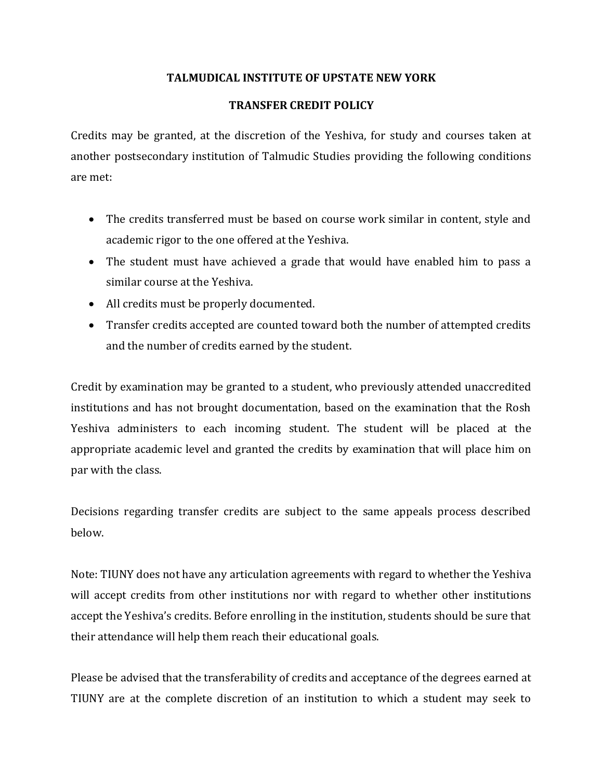## **TALMUDICAL INSTITUTE OF UPSTATE NEW YORK**

## **TRANSFER CREDIT POLICY**

Credits may be granted, at the discretion of the Yeshiva, for study and courses taken at another postsecondary institution of Talmudic Studies providing the following conditions are met:

- The credits transferred must be based on course work similar in content, style and academic rigor to the one offered at the Yeshiva.
- The student must have achieved a grade that would have enabled him to pass a similar course at the Yeshiva.
- All credits must be properly documented.
- Transfer credits accepted are counted toward both the number of attempted credits and the number of credits earned by the student.

Credit by examination may be granted to a student, who previously attended unaccredited institutions and has not brought documentation, based on the examination that the Rosh Yeshiva administers to each incoming student. The student will be placed at the appropriate academic level and granted the credits by examination that will place him on par with the class.

Decisions regarding transfer credits are subject to the same appeals process described below.

Note: TIUNY does not have any articulation agreements with regard to whether the Yeshiva will accept credits from other institutions nor with regard to whether other institutions accept the Yeshiva's credits. Before enrolling in the institution, students should be sure that their attendance will help them reach their educational goals.

Please be advised that the transferability of credits and acceptance of the degrees earned at TIUNY are at the complete discretion of an institution to which a student may seek to